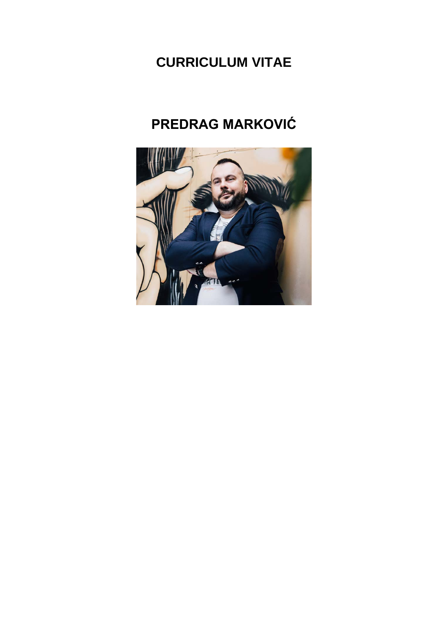# **CURRICULUM VITAE**

# **PREDRAG MARKOVIĆ**

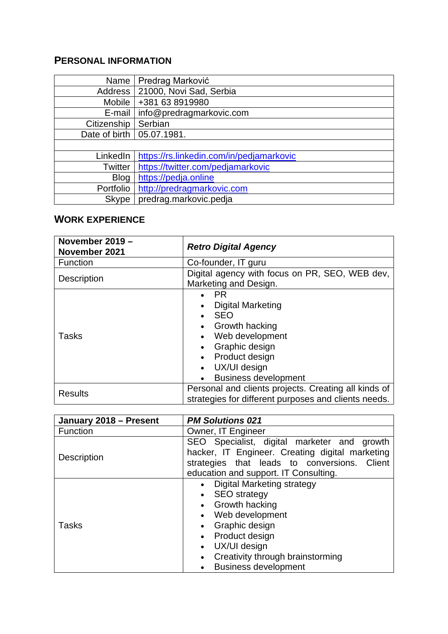#### **PERSONAL INFORMATION**

| Name         | Predrag Marković                         |
|--------------|------------------------------------------|
| Address      | 21000, Novi Sad, Serbia                  |
| Mobile       | +381 63 8919980                          |
| E-mail       | info@predragmarkovic.com                 |
| Citizenship  | Serbian                                  |
|              | Date of birth   05.07.1981.              |
|              |                                          |
| LinkedIn     | https://rs.linkedin.com/in/pedjamarkovic |
| Twitter      | https://twitter.com/pedjamarkovic        |
| <b>Blog</b>  | https://pedja.online                     |
| Portfolio    | http://predragmarkovic.com               |
| <b>Skype</b> | predrag.markovic.pedja                   |

#### **WORK EXPERIENCE**

| November 2019 -<br>November 2021 | <b>Retro Digital Agency</b>                                                                                                                                                                     |
|----------------------------------|-------------------------------------------------------------------------------------------------------------------------------------------------------------------------------------------------|
| Function                         | Co-founder, IT guru                                                                                                                                                                             |
| Description                      | Digital agency with focus on PR, SEO, WEB dev,<br>Marketing and Design.                                                                                                                         |
| <b>Tasks</b>                     | <b>PR</b><br><b>Digital Marketing</b><br><b>SEO</b><br><b>Growth hacking</b><br>Web development<br>$\bullet$<br>Graphic design<br>Product design<br>UX/UI design<br><b>Business development</b> |
| <b>Results</b>                   | Personal and clients projects. Creating all kinds of<br>strategies for different purposes and clients needs.                                                                                    |

| January 2018 - Present | <b>PM Solutions 021</b>                                                                        |
|------------------------|------------------------------------------------------------------------------------------------|
| Function               | Owner, IT Engineer                                                                             |
|                        | SEO Specialist, digital marketer and growth<br>hacker, IT Engineer. Creating digital marketing |
| Description            | strategies that leads to conversions. Client                                                   |
|                        | education and support. IT Consulting.                                                          |
|                        | Digital Marketing strategy                                                                     |
|                        | <b>SEO</b> strategy                                                                            |
|                        | <b>Growth hacking</b>                                                                          |
|                        | • Web development                                                                              |
| <b>Tasks</b>           | Graphic design                                                                                 |
|                        | Product design                                                                                 |
|                        | UX/UI design                                                                                   |
|                        | Creativity through brainstorming                                                               |
|                        | <b>Business development</b>                                                                    |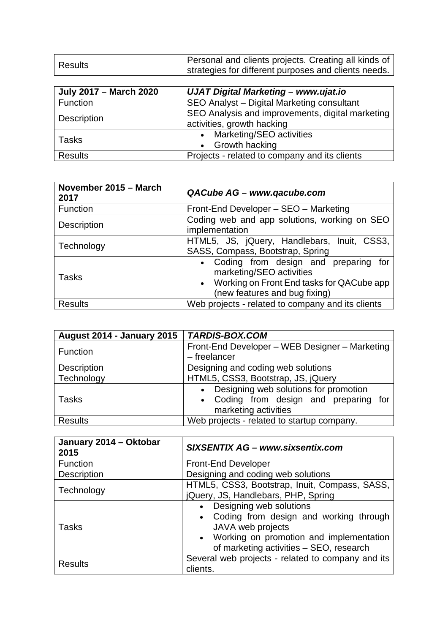| Results | Personal and clients projects. Creating all kinds of |
|---------|------------------------------------------------------|
|         | strategies for different purposes and clients needs. |

| <b>July 2017 - March 2020</b> | UJAT Digital Marketing - www.ujat.io                                           |
|-------------------------------|--------------------------------------------------------------------------------|
| Function                      | SEO Analyst - Digital Marketing consultant                                     |
| Description                   | SEO Analysis and improvements, digital marketing<br>activities, growth hacking |
| Tasks                         | • Marketing/SEO activities<br>• Growth hacking                                 |
| <b>Results</b>                | Projects - related to company and its clients                                  |

| November 2015 - March<br>2017 | QACube AG - www.qacube.com                                                                                                                       |
|-------------------------------|--------------------------------------------------------------------------------------------------------------------------------------------------|
| Function                      | Front-End Developer - SEO - Marketing                                                                                                            |
| Description                   | Coding web and app solutions, working on SEO<br>implementation                                                                                   |
| Technology                    | HTML5, JS, jQuery, Handlebars, Inuit, CSS3,<br>SASS, Compass, Bootstrap, Spring                                                                  |
| Tasks                         | Coding from design and preparing for<br>marketing/SEO activities<br>• Working on Front End tasks for QACube app<br>(new features and bug fixing) |
| <b>Results</b>                | Web projects - related to company and its clients                                                                                                |

| August 2014 - January 2015 | <b>TARDIS-BOX.COM</b>                                                                                                           |
|----------------------------|---------------------------------------------------------------------------------------------------------------------------------|
| Function                   | Front-End Developer - WEB Designer - Marketing<br>- freelancer                                                                  |
| Description                | Designing and coding web solutions                                                                                              |
| Technology                 | HTML5, CSS3, Bootstrap, JS, jQuery                                                                                              |
| <b>Tasks</b>               | Designing web solutions for promotion<br>$\bullet$<br>Coding from design and preparing for<br>$\bullet$<br>marketing activities |
| <b>Results</b>             | Web projects - related to startup company.                                                                                      |

| January 2014 - Oktobar<br>2015 | SIXSENTIX AG - www.sixsentix.com                                                                                                                                                 |
|--------------------------------|----------------------------------------------------------------------------------------------------------------------------------------------------------------------------------|
| Function                       | <b>Front-End Developer</b>                                                                                                                                                       |
| Description                    | Designing and coding web solutions                                                                                                                                               |
| Technology                     | HTML5, CSS3, Bootstrap, Inuit, Compass, SASS,<br>jQuery, JS, Handlebars, PHP, Spring                                                                                             |
| <b>Tasks</b>                   | Designing web solutions<br>• Coding from design and working through<br>JAVA web projects<br>• Working on promotion and implementation<br>of marketing activities - SEO, research |
| <b>Results</b>                 | Several web projects - related to company and its<br>clients.                                                                                                                    |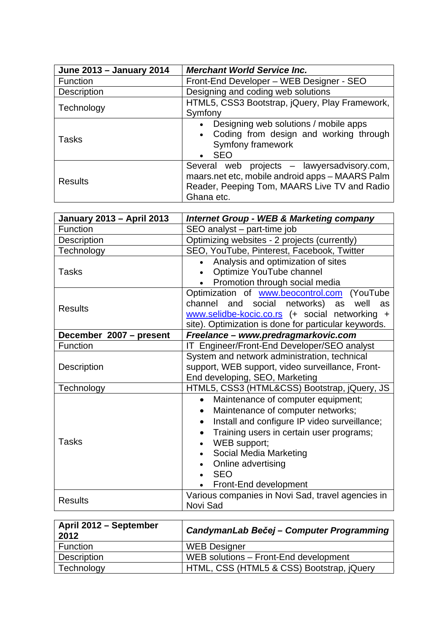| June 2013 - January 2014 | <b>Merchant World Service Inc.</b>                                                                                                                           |
|--------------------------|--------------------------------------------------------------------------------------------------------------------------------------------------------------|
| Function                 | Front-End Developer - WEB Designer - SEO                                                                                                                     |
| Description              | Designing and coding web solutions                                                                                                                           |
| Technology               | HTML5, CSS3 Bootstrap, jQuery, Play Framework,<br>Symfony                                                                                                    |
| <b>Tasks</b>             | Designing web solutions / mobile apps<br>Coding from design and working through<br>Symfony framework<br><b>SEO</b>                                           |
| <b>Results</b>           | Several web projects - lawyersadvisory.com,<br>maars.net etc, mobile android apps - MAARS Palm<br>Reader, Peeping Tom, MAARS Live TV and Radio<br>Ghana etc. |

| <b>January 2013 - April 2013</b> | <b>Internet Group - WEB &amp; Marketing company</b>                                                                                                                                                                                                                                                                                                      |
|----------------------------------|----------------------------------------------------------------------------------------------------------------------------------------------------------------------------------------------------------------------------------------------------------------------------------------------------------------------------------------------------------|
| Function                         | SEO analyst - part-time job                                                                                                                                                                                                                                                                                                                              |
| Description                      | Optimizing websites - 2 projects (currently)                                                                                                                                                                                                                                                                                                             |
| Technology                       | SEO, YouTube, Pinterest, Facebook, Twitter                                                                                                                                                                                                                                                                                                               |
| <b>Tasks</b>                     | Analysis and optimization of sites<br>$\bullet$<br>Optimize YouTube channel<br>Promotion through social media                                                                                                                                                                                                                                            |
| <b>Results</b>                   | Optimization of www.beocontrol.com (YouTube<br>channel and social networks)<br>well<br>as<br>as<br>www.selidbe-kocic.co.rs (+ social networking +<br>site). Optimization is done for particular keywords.                                                                                                                                                |
| December 2007 - present          | Freelance - www.predragmarkovic.com                                                                                                                                                                                                                                                                                                                      |
| Function                         | IT Engineer/Front-End Developer/SEO analyst                                                                                                                                                                                                                                                                                                              |
| Description                      | System and network administration, technical<br>support, WEB support, video surveillance, Front-<br>End developing, SEO, Marketing                                                                                                                                                                                                                       |
| Technology                       | HTML5, CSS3 (HTML&CSS) Bootstrap, jQuery, JS                                                                                                                                                                                                                                                                                                             |
| Tasks                            | Maintenance of computer equipment;<br>$\bullet$<br>Maintenance of computer networks;<br>$\bullet$<br>Install and configure IP video surveillance;<br>$\bullet$<br>Training users in certain user programs;<br>$\bullet$<br>WEB support;<br>$\bullet$<br>Social Media Marketing<br>$\bullet$<br>Online advertising<br><b>SEO</b><br>Front-End development |
| <b>Results</b>                   | Various companies in Novi Sad, travel agencies in<br>Novi Sad                                                                                                                                                                                                                                                                                            |

| April 2012 - September<br>2012 | <b>CandymanLab Bečej - Computer Programming</b> |
|--------------------------------|-------------------------------------------------|
| Function                       | <b>WEB Designer</b>                             |
| Description                    | WEB solutions - Front-End development           |
| Technology                     | HTML, CSS (HTML5 & CSS) Bootstrap, jQuery       |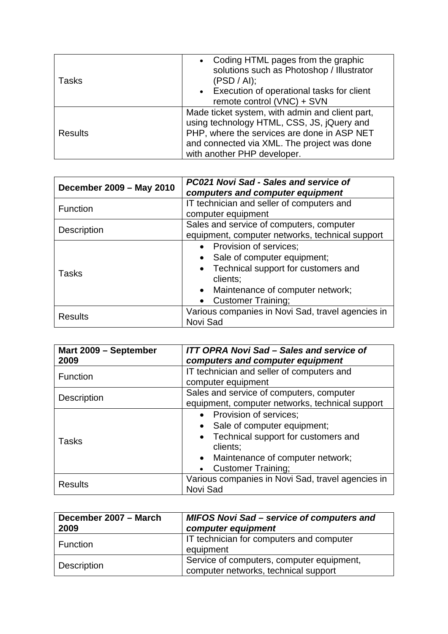| <b>Tasks</b> | Coding HTML pages from the graphic<br>$\bullet$<br>solutions such as Photoshop / Illustrator<br>(PSD / Al);<br>• Execution of operational tasks for client                                                                 |
|--------------|----------------------------------------------------------------------------------------------------------------------------------------------------------------------------------------------------------------------------|
|              | remote control (VNC) + SVN                                                                                                                                                                                                 |
| Results      | Made ticket system, with admin and client part,<br>using technology HTML, CSS, JS, jQuery and<br>PHP, where the services are done in ASP NET<br>and connected via XML. The project was done<br>with another PHP developer. |

| December 2009 - May 2010 | <b>PC021 Novi Sad - Sales and service of</b><br>computers and computer equipment                                                                                              |
|--------------------------|-------------------------------------------------------------------------------------------------------------------------------------------------------------------------------|
| <b>Function</b>          | IT technician and seller of computers and<br>computer equipment                                                                                                               |
| <b>Description</b>       | Sales and service of computers, computer<br>equipment, computer networks, technical support                                                                                   |
| <b>Tasks</b>             | • Provision of services;<br>Sale of computer equipment;<br>Technical support for customers and<br>clients;<br>• Maintenance of computer network;<br><b>Customer Training;</b> |
| <b>Results</b>           | Various companies in Novi Sad, travel agencies in<br>Novi Sad                                                                                                                 |

| Mart 2009 - September<br>2009 | <b>ITT OPRA Novi Sad – Sales and service of</b><br>computers and computer equipment                                                                                           |
|-------------------------------|-------------------------------------------------------------------------------------------------------------------------------------------------------------------------------|
| <b>Function</b>               | IT technician and seller of computers and<br>computer equipment                                                                                                               |
| Description                   | Sales and service of computers, computer<br>equipment, computer networks, technical support                                                                                   |
| <b>Tasks</b>                  | • Provision of services;<br>Sale of computer equipment;<br>Technical support for customers and<br>clients;<br>• Maintenance of computer network;<br><b>Customer Training;</b> |
| <b>Results</b>                | Various companies in Novi Sad, travel agencies in<br>Novi Sad                                                                                                                 |

| December 2007 - March<br>2009 | <b>MIFOS Novi Sad - service of computers and</b><br>computer equipment            |
|-------------------------------|-----------------------------------------------------------------------------------|
| Function                      | IT technician for computers and computer<br>equipment                             |
| Description                   | Service of computers, computer equipment,<br>computer networks, technical support |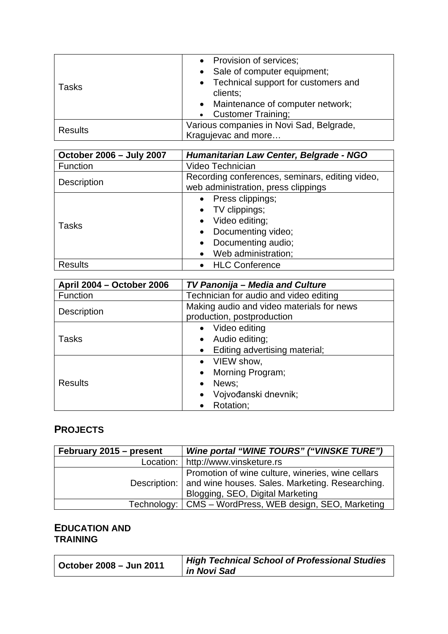|                | • Provision of services;                 |
|----------------|------------------------------------------|
|                | • Sale of computer equipment;            |
| Tasks          | • Technical support for customers and    |
|                | clients;                                 |
|                | • Maintenance of computer network;       |
|                | <b>Customer Training;</b><br>$\bullet$   |
| <b>Results</b> | Various companies in Novi Sad, Belgrade, |
|                | Kragujevac and more                      |

| October 2006 - July 2007 | Humanitarian Law Center, Belgrade - NGO                                                                                  |
|--------------------------|--------------------------------------------------------------------------------------------------------------------------|
| Function                 | Video Technician                                                                                                         |
| Description              | Recording conferences, seminars, editing video,<br>web administration, press clippings                                   |
| <b>Tasks</b>             | Press clippings;<br>• TV clippings;<br>Video editing;<br>Documenting video;<br>Documenting audio;<br>Web administration; |
| <b>Results</b>           | • HLC Conference                                                                                                         |

| <b>April 2004 - October 2006</b> | <b>TV Panonija - Media and Culture</b>                                  |
|----------------------------------|-------------------------------------------------------------------------|
| Function                         | Technician for audio and video editing                                  |
| Description                      | Making audio and video materials for news<br>production, postproduction |
|                                  | • Video editing                                                         |
| <b>Tasks</b>                     | Audio editing;<br>$\bullet$                                             |
|                                  | Editing advertising material;<br>$\bullet$                              |
| <b>Results</b>                   | • VIEW show,                                                            |
|                                  | Morning Program;<br>$\bullet$                                           |
|                                  | News;<br>$\bullet$                                                      |
|                                  | Vojvođanski dnevnik;<br>$\bullet$                                       |
|                                  | Rotation;<br>$\bullet$                                                  |

### **PROJECTS**

| February 2015 – present | Wine portal "WINE TOURS" ("VINSKE TURE")                                                                                                                |
|-------------------------|---------------------------------------------------------------------------------------------------------------------------------------------------------|
|                         | Location:   http://www.vinsketure.rs                                                                                                                    |
|                         | Promotion of wine culture, wineries, wine cellars<br>Description:   and wine houses. Sales. Marketing. Researching.<br>Blogging, SEO, Digital Marketing |
|                         | Technology:   CMS – WordPress, WEB design, SEO, Marketing                                                                                               |

#### **EDUCATION AND TRAINING**

| October 2008 - Jun 2011 | High Technical School of Professional Studies<br>in Novi Sad |
|-------------------------|--------------------------------------------------------------|
|-------------------------|--------------------------------------------------------------|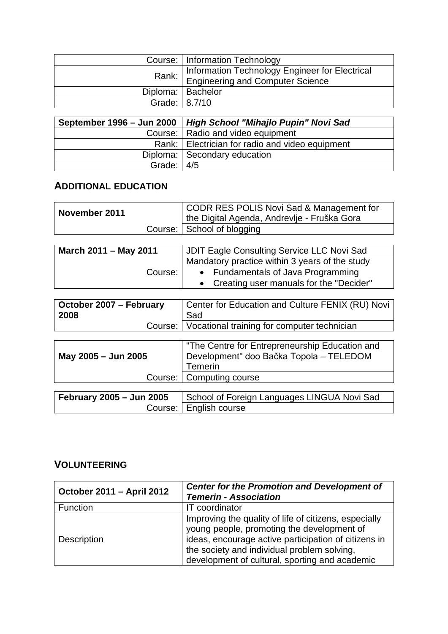|               | Course:   Information Technology                                                             |
|---------------|----------------------------------------------------------------------------------------------|
|               | Rank:   Information Technology Engineer for Electrical<br>  Engineering and Computer Science |
|               | Diploma:   Bachelor                                                                          |
| Grade: 8.7/10 |                                                                                              |

|                          | September 1996 - Jun 2000   High School "Mihajlo Pupin" Novi Sad |
|--------------------------|------------------------------------------------------------------|
|                          | Course:   Radio and video equipment                              |
|                          | Rank:   Electrician for radio and video equipment                |
|                          | Diploma: Secondary education                                     |
| Grade: $\vert 4/5 \vert$ |                                                                  |

#### **ADDITIONAL EDUCATION**

| November 2011 | CODR RES POLIS Novi Sad & Management for<br>I the Digital Agenda, Andrevlje - Fruška Gora |
|---------------|-------------------------------------------------------------------------------------------|
|               | Course: School of blogging                                                                |

| March 2011 - May 2011 | JDIT Eagle Consulting Service LLC Novi Sad     |
|-----------------------|------------------------------------------------|
|                       | Mandatory practice within 3 years of the study |
| Course:               | • Fundamentals of Java Programming             |
|                       | • Creating user manuals for the "Decider"      |

| October 2007 - February | Center for Education and Culture FENIX (RU) Novi      |
|-------------------------|-------------------------------------------------------|
| 2008                    | Sad                                                   |
|                         | Course:   Vocational training for computer technician |

| May 2005 - Jun 2005      | "The Centre for Entrepreneurship Education and<br>Development" doo Bačka Topola - TELEDOM<br>Temerin<br>Course:   Computing course |
|--------------------------|------------------------------------------------------------------------------------------------------------------------------------|
| February 2005 - Jun 2005 | School of Foreign Languages LINGUA Novi Sad                                                                                        |
| Course:                  | English course                                                                                                                     |

#### **VOLUNTEERING**

| October 2011 - April 2012 | <b>Center for the Promotion and Development of</b><br><b>Temerin - Association</b>                                                                                                                                                                           |
|---------------------------|--------------------------------------------------------------------------------------------------------------------------------------------------------------------------------------------------------------------------------------------------------------|
| Function                  | IT coordinator                                                                                                                                                                                                                                               |
| Description               | Improving the quality of life of citizens, especially<br>young people, promoting the development of<br>ideas, encourage active participation of citizens in<br>the society and individual problem solving,<br>development of cultural, sporting and academic |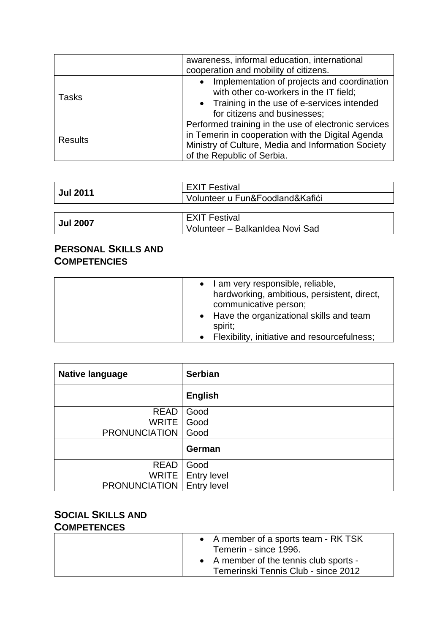|                | awareness, informal education, international<br>cooperation and mobility of citizens.                                                                                                         |
|----------------|-----------------------------------------------------------------------------------------------------------------------------------------------------------------------------------------------|
| <b>Tasks</b>   | Implementation of projects and coordination<br>with other co-workers in the IT field;<br>• Training in the use of e-services intended<br>for citizens and businesses;                         |
| <b>Results</b> | Performed training in the use of electronic services<br>in Temerin in cooperation with the Digital Agenda<br>Ministry of Culture, Media and Information Society<br>of the Republic of Serbia. |

| <b>Jul 2011</b>      | <b>EXIT Festival</b><br>Volunteer u Fun&Foodland&Kafići |
|----------------------|---------------------------------------------------------|
| <b>EXIT Festival</b> |                                                         |
| <b>Jul 2007</b>      | Volunteer - BalkanIdea Novi Sad                         |

### **PERSONAL SKILLS AND COMPETENCIES**

| • I am very responsible, reliable,<br>hardworking, ambitious, persistent, direct,<br>communicative person;<br>• Have the organizational skills and team<br>spirit;<br>• Flexibility, initiative and resourcefulness: |  |
|----------------------------------------------------------------------------------------------------------------------------------------------------------------------------------------------------------------------|--|
|----------------------------------------------------------------------------------------------------------------------------------------------------------------------------------------------------------------------|--|

| <b>Native language</b>             | <b>Serbian</b>      |
|------------------------------------|---------------------|
|                                    | <b>English</b>      |
| <b>READ</b>                        | Good                |
| <b>WRITE</b>                       | Good                |
| <b>PRONUNCIATION</b>               | Good                |
|                                    | German              |
| <b>READ</b>                        | Good                |
|                                    | WRITE   Entry level |
| <b>PRONUNCIATION</b>   Entry level |                     |

## **SOCIAL SKILLS AND**

### **COMPETENCES**

| • A member of a sports team - RK TSK<br>Temerin - since 1996.                 |
|-------------------------------------------------------------------------------|
| • A member of the tennis club sports -<br>Temerinski Tennis Club - since 2012 |